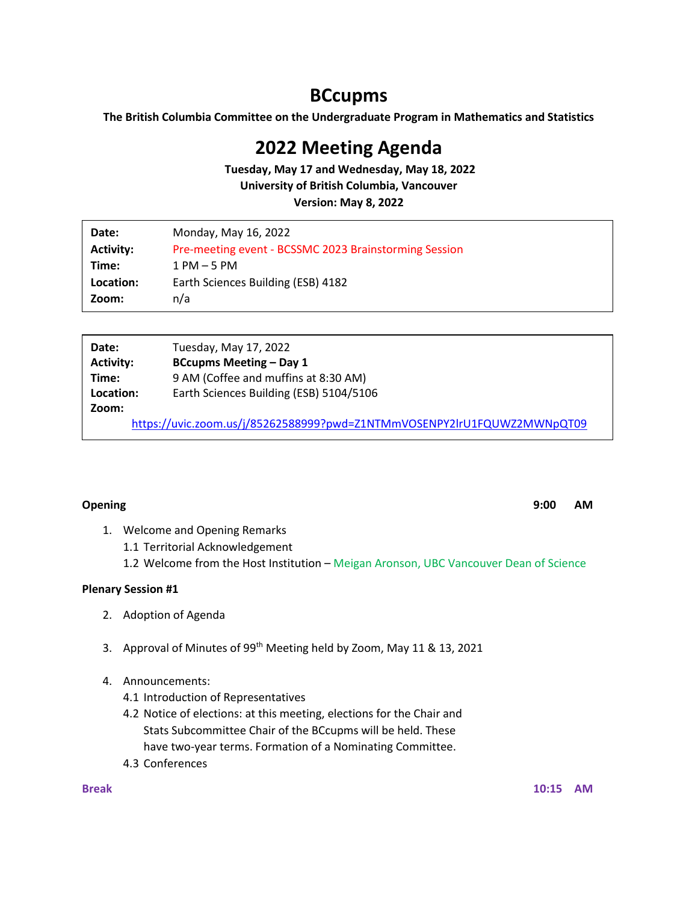# **BCcupms**

**The British Columbia Committee on the Undergraduate Program in Mathematics and Statistics**

## **2022 Meeting Agenda**

**Tuesday, May 17 and Wednesday, May 18, 2022 University of British Columbia, Vancouver**

**Version: May 8, 2022**

| Date:            | Monday, May 16, 2022                                  |
|------------------|-------------------------------------------------------|
| <b>Activity:</b> | Pre-meeting event - BCSSMC 2023 Brainstorming Session |
| Time:            | $1$ PM $-5$ PM                                        |
| Location:        | Earth Sciences Building (ESB) 4182                    |
| Zoom:            | n/a                                                   |

| Date:                                                                   | Tuesday, May 17, 2022                   |  |
|-------------------------------------------------------------------------|-----------------------------------------|--|
| <b>Activity:</b>                                                        | <b>BCcupms Meeting - Day 1</b>          |  |
| Time:                                                                   | 9 AM (Coffee and muffins at 8:30 AM)    |  |
| Location:                                                               | Earth Sciences Building (ESB) 5104/5106 |  |
| Zoom:                                                                   |                                         |  |
| https://uvic.zoom.us/j/85262588999?pwd=Z1NTMmVOSENPY2lrU1FQUWZ2MWNpQT09 |                                         |  |

**Opening 9:00 AM**

- 1. Welcome and Opening Remarks
	- 1.1 Territorial Acknowledgement
	- 1.2 Welcome from the Host Institution Meigan Aronson, UBC Vancouver Dean of Science

### **Plenary Session #1**

- 2. Adoption of Agenda
- 3. Approval of Minutes of 99<sup>th</sup> Meeting held by Zoom, May 11 & 13, 2021
- 4. Announcements:
	- 4.1 Introduction of Representatives
	- 4.2 Notice of elections: at this meeting, elections for the Chair and Stats Subcommittee Chair of the BCcupms will be held. These have two-year terms. Formation of a Nominating Committee.
	- 4.3 Conferences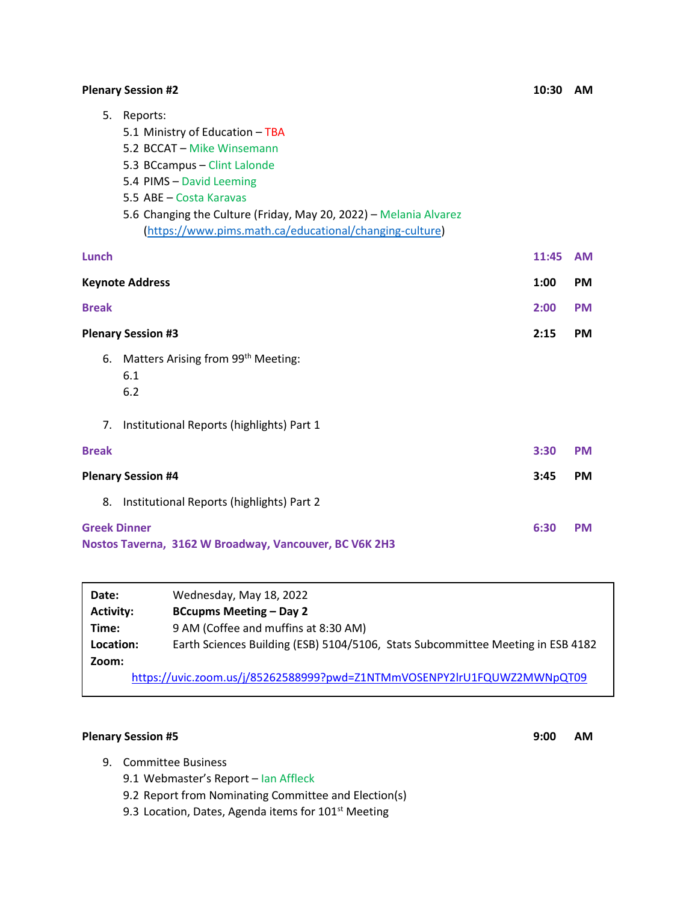## **Plenary Session #2 10:30 AM**

| 5.                                                                            | Reports:<br>5.1 Ministry of Education - TBA<br>5.2 BCCAT - Mike Winsemann<br>5.3 BCcampus - Clint Lalonde<br>5.4 PIMS - David Leeming<br>5.5 ABE - Costa Karavas |       |           |
|-------------------------------------------------------------------------------|------------------------------------------------------------------------------------------------------------------------------------------------------------------|-------|-----------|
|                                                                               | 5.6 Changing the Culture (Friday, May 20, 2022) - Melania Alvarez<br>(https://www.pims.math.ca/educational/changing-culture)                                     |       |           |
| <b>Lunch</b>                                                                  |                                                                                                                                                                  | 11:45 | <b>AM</b> |
| <b>Keynote Address</b>                                                        |                                                                                                                                                                  | 1:00  | <b>PM</b> |
| <b>Break</b>                                                                  |                                                                                                                                                                  | 2:00  | <b>PM</b> |
| <b>Plenary Session #3</b>                                                     |                                                                                                                                                                  | 2:15  | <b>PM</b> |
| 6.                                                                            | Matters Arising from 99 <sup>th</sup> Meeting:<br>6.1<br>6.2                                                                                                     |       |           |
| 7 <sub>1</sub>                                                                | Institutional Reports (highlights) Part 1                                                                                                                        |       |           |
| <b>Break</b>                                                                  |                                                                                                                                                                  | 3:30  | <b>PM</b> |
| <b>Plenary Session #4</b>                                                     |                                                                                                                                                                  | 3:45  | <b>PM</b> |
| 8.                                                                            | Institutional Reports (highlights) Part 2                                                                                                                        |       |           |
| <b>Greek Dinner</b><br>Nostos Taverna, 3162 W Broadway, Vancouver, BC V6K 2H3 |                                                                                                                                                                  | 6:30  | <b>PM</b> |

| Date:                                                                   | Wednesday, May 18, 2022                                                         |  |  |
|-------------------------------------------------------------------------|---------------------------------------------------------------------------------|--|--|
| <b>Activity:</b>                                                        | <b>BCcupms Meeting – Day 2</b>                                                  |  |  |
| Time:                                                                   | 9 AM (Coffee and muffins at 8:30 AM)                                            |  |  |
| Location:                                                               | Earth Sciences Building (ESB) 5104/5106, Stats Subcommittee Meeting in ESB 4182 |  |  |
| Zoom:                                                                   |                                                                                 |  |  |
| https://uvic.zoom.us/j/85262588999?pwd=Z1NTMmVOSENPY2lrU1FQUWZ2MWNpQT09 |                                                                                 |  |  |

### **Plenary Session #5 9:00 AM**

- 9. Committee Business
	- 9.1 Webmaster's Report Ian Affleck
	- 9.2 Report from Nominating Committee and Election(s)
	- 9.3 Location, Dates, Agenda items for 101<sup>st</sup> Meeting